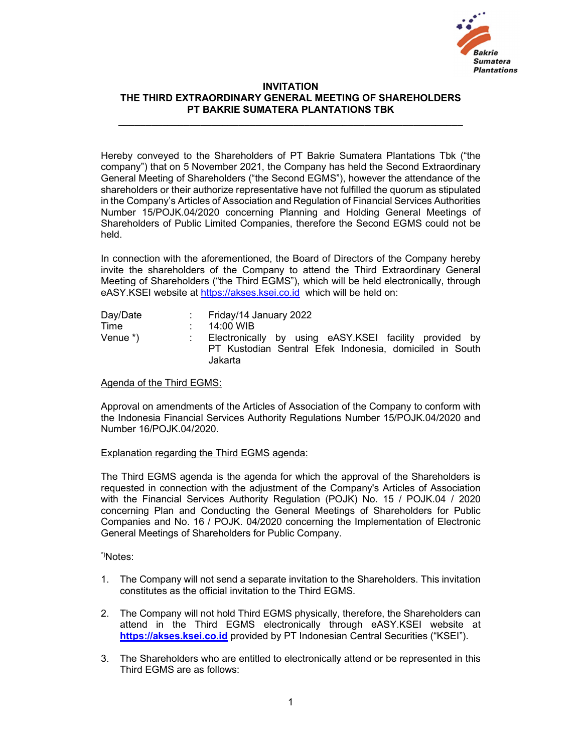

## INVITATION THE THIRD EXTRAORDINARY GENERAL MEETING OF SHAREHOLDERS PT BAKRIE SUMATERA PLANTATIONS TBK

Hereby conveyed to the Shareholders of PT Bakrie Sumatera Plantations Tbk ("the company") that on 5 November 2021, the Company has held the Second Extraordinary General Meeting of Shareholders ("the Second EGMS"), however the attendance of the shareholders or their authorize representative have not fulfilled the quorum as stipulated in the Company's Articles of Association and Regulation of Financial Services Authorities Number 15/POJK.04/2020 concerning Planning and Holding General Meetings of Shareholders of Public Limited Companies, therefore the Second EGMS could not be held.

In connection with the aforementioned, the Board of Directors of the Company hereby invite the shareholders of the Company to attend the Third Extraordinary General Meeting of Shareholders ("the Third EGMS"), which will be held electronically, through eASY.KSEI website at https://akses.ksei.co.id which will be held on:

| Day/Date   | Friday/14 January 2022                                                                                                       |
|------------|------------------------------------------------------------------------------------------------------------------------------|
| Time       | 14:00 WIB                                                                                                                    |
| Venue $*)$ | Electronically by using eASY.KSEI facility provided by<br>PT Kustodian Sentral Efek Indonesia, domiciled in South<br>Jakarta |

## Agenda of the Third EGMS:

Approval on amendments of the Articles of Association of the Company to conform with the Indonesia Financial Services Authority Regulations Number 15/POJK.04/2020 and Number 16/POJK.04/2020.

## Explanation regarding the Third EGMS agenda:

The Third EGMS agenda is the agenda for which the approval of the Shareholders is requested in connection with the adjustment of the Company's Articles of Association with the Financial Services Authority Regulation (POJK) No. 15 / POJK.04 / 2020 concerning Plan and Conducting the General Meetings of Shareholders for Public Companies and No. 16 / POJK. 04/2020 concerning the Implementation of Electronic General Meetings of Shareholders for Public Company.

\*)Notes:

- 1. The Company will not send a separate invitation to the Shareholders. This invitation constitutes as the official invitation to the Third EGMS.
- 2. The Company will not hold Third EGMS physically, therefore, the Shareholders can attend in the Third EGMS electronically through eASY.KSEI website at https://akses.ksei.co.id provided by PT Indonesian Central Securities ("KSEI").
- 3. The Shareholders who are entitled to electronically attend or be represented in this Third EGMS are as follows: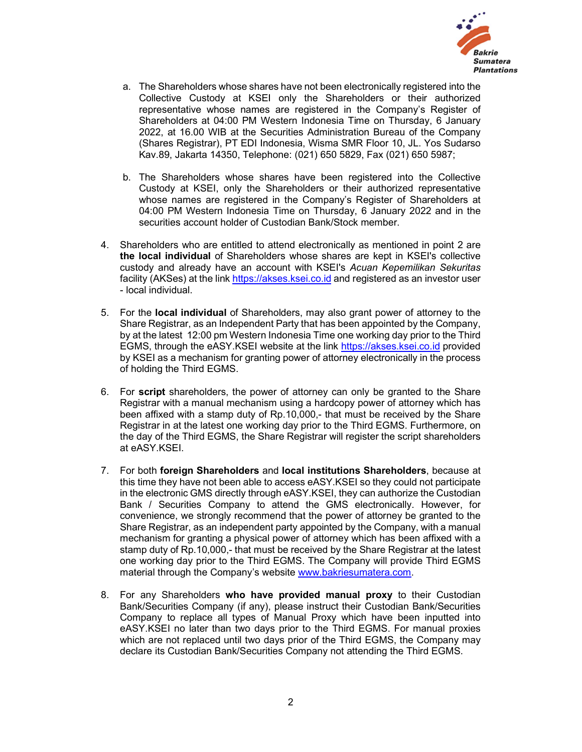

- a. The Shareholders whose shares have not been electronically registered into the Collective Custody at KSEI only the Shareholders or their authorized representative whose names are registered in the Company's Register of Shareholders at 04:00 PM Western Indonesia Time on Thursday, 6 January 2022, at 16.00 WIB at the Securities Administration Bureau of the Company (Shares Registrar), PT EDI Indonesia, Wisma SMR Floor 10, JL. Yos Sudarso Kav.89, Jakarta 14350, Telephone: (021) 650 5829, Fax (021) 650 5987;
- b. The Shareholders whose shares have been registered into the Collective Custody at KSEI, only the Shareholders or their authorized representative whose names are registered in the Company's Register of Shareholders at 04:00 PM Western Indonesia Time on Thursday, 6 January 2022 and in the securities account holder of Custodian Bank/Stock member.
- 4. Shareholders who are entitled to attend electronically as mentioned in point 2 are the local individual of Shareholders whose shares are kept in KSEI's collective custody and already have an account with KSEI's Acuan Kepemilikan Sekuritas facility (AKSes) at the link https://akses.ksei.co.id and registered as an investor user - local individual.
- 5. For the local individual of Shareholders, may also grant power of attorney to the Share Registrar, as an Independent Party that has been appointed by the Company, by at the latest 12:00 pm Western Indonesia Time one working day prior to the Third EGMS, through the eASY.KSEI website at the link https://akses.ksei.co.id provided by KSEI as a mechanism for granting power of attorney electronically in the process of holding the Third EGMS.
- 6. For script shareholders, the power of attorney can only be granted to the Share Registrar with a manual mechanism using a hardcopy power of attorney which has been affixed with a stamp duty of Rp.10,000,- that must be received by the Share Registrar in at the latest one working day prior to the Third EGMS. Furthermore, on the day of the Third EGMS, the Share Registrar will register the script shareholders at eASY.KSEI.
- 7. For both foreign Shareholders and local institutions Shareholders, because at this time they have not been able to access eASY.KSEI so they could not participate in the electronic GMS directly through eASY.KSEI, they can authorize the Custodian Bank / Securities Company to attend the GMS electronically. However, for convenience, we strongly recommend that the power of attorney be granted to the Share Registrar, as an independent party appointed by the Company, with a manual mechanism for granting a physical power of attorney which has been affixed with a stamp duty of Rp.10,000,- that must be received by the Share Registrar at the latest one working day prior to the Third EGMS. The Company will provide Third EGMS material through the Company's website www.bakriesumatera.com.<br>8. For any Shareholders **who have provided manual proxy** to their Custodian
- Bank/Securities Company (if any), please instruct their Custodian Bank/Securities Company to replace all types of Manual Proxy which have been inputted into eASY.KSEI no later than two days prior to the Third EGMS. For manual proxies which are not replaced until two days prior of the Third EGMS, the Company may declare its Custodian Bank/Securities Company not attending the Third EGMS.